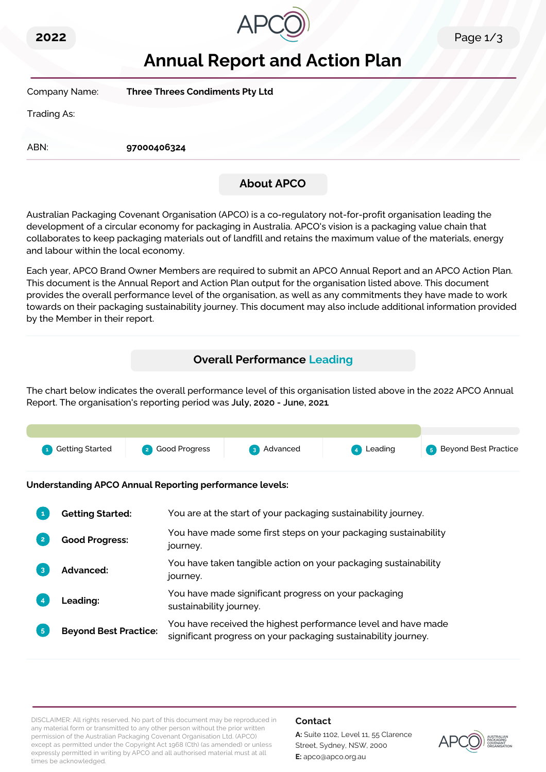



# **Annual Report and Action Plan**

| Company Name: | <b>Three Threes Condiments Pty Ltd</b> |                   |  |
|---------------|----------------------------------------|-------------------|--|
| Trading As:   |                                        |                   |  |
|               |                                        |                   |  |
| ABN:          | 97000406324                            |                   |  |
|               |                                        |                   |  |
|               |                                        | <b>About APCO</b> |  |

Australian Packaging Covenant Organisation (APCO) is a co-regulatory not-for-profit organisation leading the development of a circular economy for packaging in Australia. APCO's vision is a packaging value chain that collaborates to keep packaging materials out of landfill and retains the maximum value of the materials, energy and labour within the local economy.

Each year, APCO Brand Owner Members are required to submit an APCO Annual Report and an APCO Action Plan. This document is the Annual Report and Action Plan output for the organisation listed above. This document provides the overall performance level of the organisation, as well as any commitments they have made to work towards on their packaging sustainability journey. This document may also include additional information provided by the Member in their report.

## **Overall Performance Leading**

The chart below indicates the overall performance level of this organisation listed above in the 2022 APCO Annual Report. The organisation's reporting period was **July, 2020 - June, 2021**.



**Understanding APCO Annual Reporting performance levels:**

|    | <b>Getting Started:</b>      | You are at the start of your packaging sustainability journey.                                                                  |
|----|------------------------------|---------------------------------------------------------------------------------------------------------------------------------|
|    | <b>Good Progress:</b>        | You have made some first steps on your packaging sustainability<br>journey.                                                     |
| 3  | <b>Advanced:</b>             | You have taken tangible action on your packaging sustainability<br>journey.                                                     |
|    | <b>Leading:</b>              | You have made significant progress on your packaging<br>sustainability journey.                                                 |
| 5. | <b>Beyond Best Practice:</b> | You have received the highest performance level and have made<br>significant progress on your packaging sustainability journey. |

DISCLAIMER: All rights reserved. No part of this document may be reproduced in any material form or transmitted to any other person without the prior written permission of the Australian Packaging Covenant Organisation Ltd. (APCO) except as permitted under the Copyright Act 1968 (Cth) (as amended) or unless expressly permitted in writing by APCO and all authorised material must at all times be acknowledged.

### **Contact**

**A:** Suite 1102, Level 11, 55 Clarence Street, Sydney, NSW, 2000 **E:** apco@apco.org.au

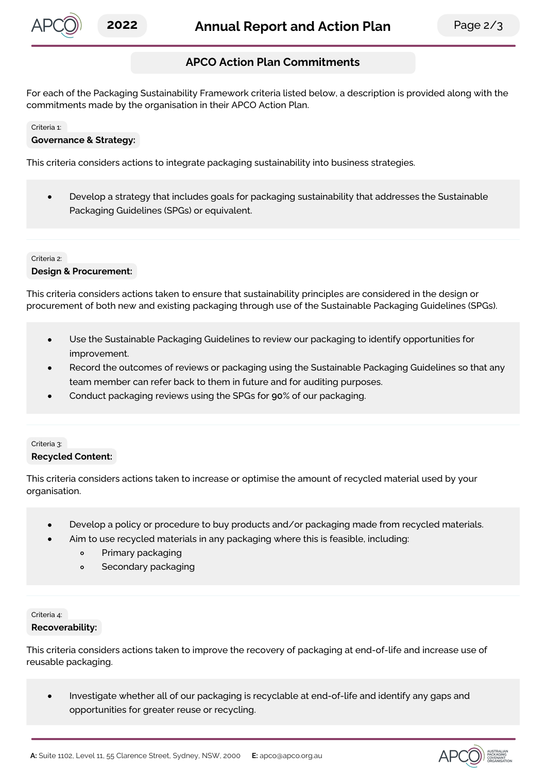

## **APCO Action Plan Commitments**

For each of the Packaging Sustainability Framework criteria listed below, a description is provided along with the commitments made by the organisation in their APCO Action Plan.

### Criteria 1:

### **Governance & Strategy:**

This criteria considers actions to integrate packaging sustainability into business strategies.

Develop a strategy that includes goals for packaging sustainability that addresses the Sustainable  $\bullet$ Packaging Guidelines (SPGs) or equivalent.

### Criteria 2: **Design & Procurement:**

This criteria considers actions taken to ensure that sustainability principles are considered in the design or procurement of both new and existing packaging through use of the Sustainable Packaging Guidelines (SPGs).

- Use the Sustainable Packaging Guidelines to review our packaging to identify opportunities for improvement.
- Record the outcomes of reviews or packaging using the Sustainable Packaging Guidelines so that any team member can refer back to them in future and for auditing purposes.
- Conduct packaging reviews using the SPGs for **90**% of our packaging.

### Criteria 3: **Recycled Content:**

This criteria considers actions taken to increase or optimise the amount of recycled material used by your organisation.

- Develop a policy or procedure to buy products and/or packaging made from recycled materials.
- Aim to use recycled materials in any packaging where this is feasible, including:
	- $\circ$ Primary packaging
	- Secondary packaging  $\circ$

## Criteria 4:

### **Recoverability:**

This criteria considers actions taken to improve the recovery of packaging at end-of-life and increase use of reusable packaging.

Investigate whether all of our packaging is recyclable at end-of-life and identify any gaps and  $\bullet$ opportunities for greater reuse or recycling.